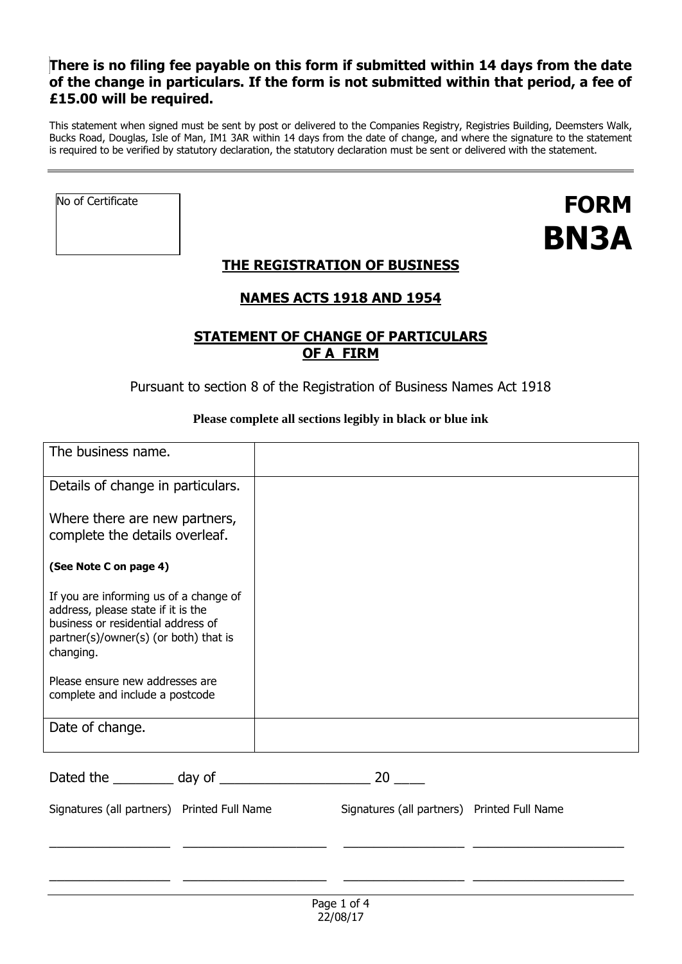## **There is no filing fee payable on this form if submitted within 14 days from the date of the change in particulars. If the form is not submitted within that period, a fee of £15.00 will be required.**

This statement when signed must be sent by post or delivered to the Companies Registry, Registries Building, Deemsters Walk, Bucks Road, Douglas, Isle of Man, IM1 3AR within 14 days from the date of change, and where the signature to the statement is required to be verified by statutory declaration, the statutory declaration must be sent or delivered with the statement.

No of Certificate

# **FORM BN3A**

# **THE REGISTRATION OF BUSINESS**

## **NAMES ACTS 1918 AND 1954**

## **STATEMENT OF CHANGE OF PARTICULARS OF A FIRM**

Pursuant to section 8 of the Registration of Business Names Act 1918

## **Please complete all sections legibly in black or blue ink**

| The business name.                                                                                                                                                       |                                             |
|--------------------------------------------------------------------------------------------------------------------------------------------------------------------------|---------------------------------------------|
| Details of change in particulars.                                                                                                                                        |                                             |
| Where there are new partners,<br>complete the details overleaf.                                                                                                          |                                             |
| (See Note C on page 4)                                                                                                                                                   |                                             |
| If you are informing us of a change of<br>address, please state if it is the<br>business or residential address of<br>partner(s)/owner(s) (or both) that is<br>changing. |                                             |
| Please ensure new addresses are<br>complete and include a postcode                                                                                                       |                                             |
| Date of change.                                                                                                                                                          |                                             |
|                                                                                                                                                                          | 20                                          |
| Signatures (all partners) Printed Full Name                                                                                                                              | Signatures (all partners) Printed Full Name |
|                                                                                                                                                                          |                                             |
|                                                                                                                                                                          |                                             |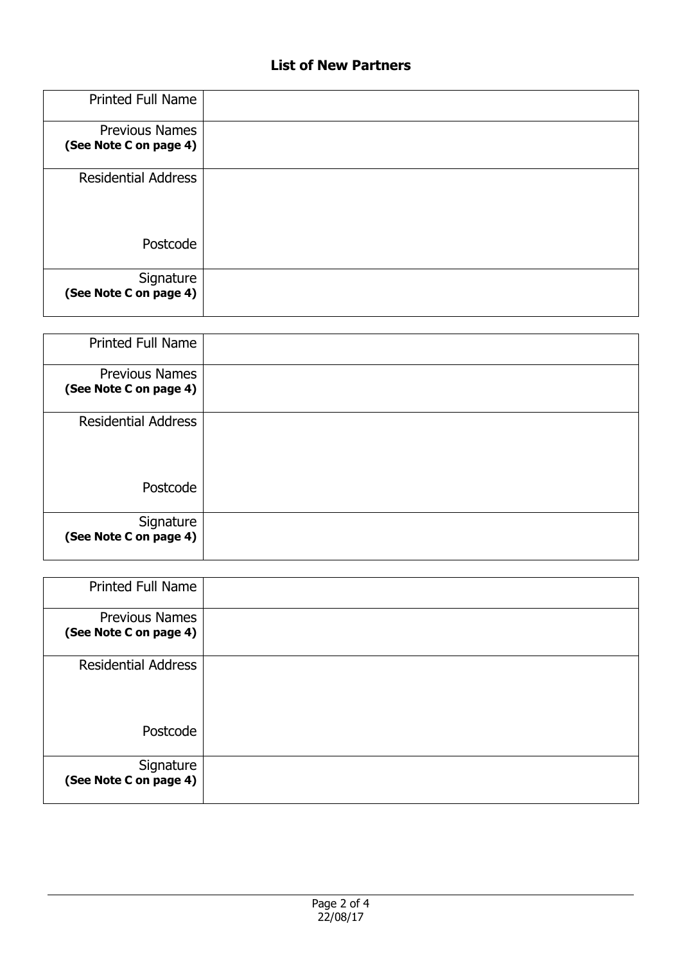# **List of New Partners**

| Printed Full Name                               |  |
|-------------------------------------------------|--|
| <b>Previous Names</b><br>(See Note C on page 4) |  |
| <b>Residential Address</b>                      |  |
| Postcode                                        |  |
| Signature<br>(See Note C on page 4)             |  |

| Printed Full Name                               |  |
|-------------------------------------------------|--|
| <b>Previous Names</b><br>(See Note C on page 4) |  |
| <b>Residential Address</b>                      |  |
| Postcode                                        |  |
| Signature<br>(See Note C on page 4)             |  |

| <b>Printed Full Name</b>                        |  |
|-------------------------------------------------|--|
| <b>Previous Names</b><br>(See Note C on page 4) |  |
| <b>Residential Address</b>                      |  |
| Postcode                                        |  |
| Signature<br>(See Note C on page 4)             |  |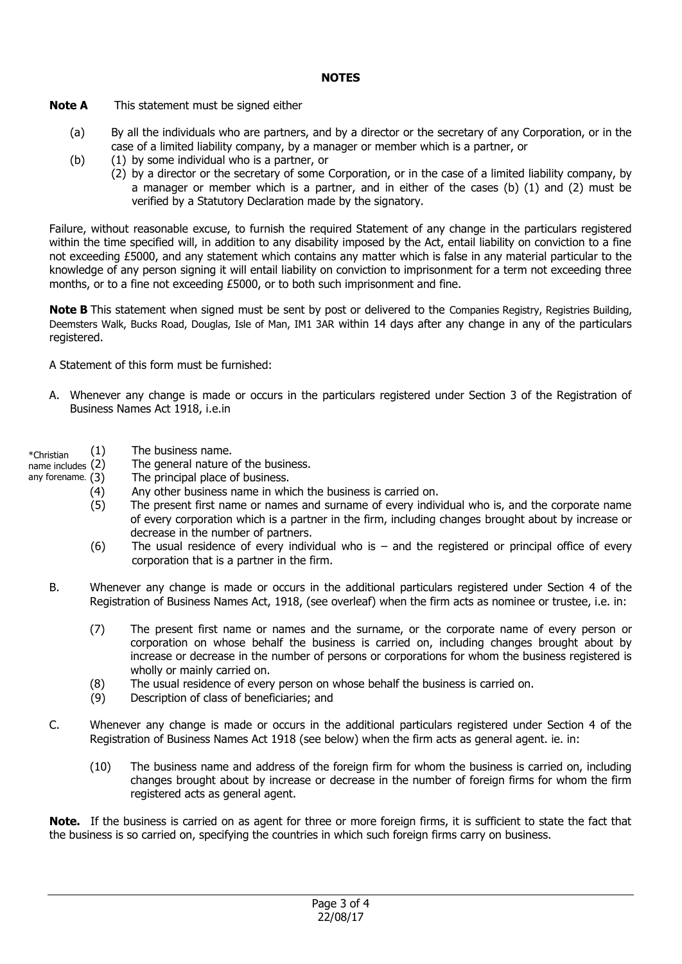#### **NOTES**

**Note A** This statement must be signed either

- (a) By all the individuals who are partners, and by a director or the secretary of any Corporation, or in the case of a limited liability company, by a manager or member which is a partner, or
- (b) (1) by some individual who is a partner, or
	- (2) by a director or the secretary of some Corporation, or in the case of a limited liability company, by a manager or member which is a partner, and in either of the cases (b)  $(1)$  and  $(2)$  must be verified by a Statutory Declaration made by the signatory.

Failure, without reasonable excuse, to furnish the required Statement of any change in the particulars registered within the time specified will, in addition to any disability imposed by the Act, entail liability on conviction to a fine not exceeding £5000, and any statement which contains any matter which is false in any material particular to the knowledge of any person signing it will entail liability on conviction to imprisonment for a term not exceeding three months, or to a fine not exceeding £5000, or to both such imprisonment and fine.

**Note B** This statement when signed must be sent by post or delivered to the Companies Registry, Registries Building, Deemsters Walk, Bucks Road, Douglas, Isle of Man, IM1 3AR within 14 days after any change in any of the particulars registered.

A Statement of this form must be furnished:

- A. Whenever any change is made or occurs in the particulars registered under Section 3 of the Registration of Business Names Act 1918, i.e.in
- \*Christian (1) The business name.
- name includes (2) The general nature of the business.
- any forename. (3) The principal place of business.
	- (4) Any other business name in which the business is carried on.
	- (5) The present first name or names and surname of every individual who is, and the corporate name of every corporation which is a partner in the firm, including changes brought about by increase or decrease in the number of partners.
	- (6) The usual residence of every individual who is and the registered or principal office of every corporation that is a partner in the firm.
	- B. Whenever any change is made or occurs in the additional particulars registered under Section 4 of the Registration of Business Names Act, 1918, (see overleaf) when the firm acts as nominee or trustee, i.e. in:
		- (7) The present first name or names and the surname, or the corporate name of every person or corporation on whose behalf the business is carried on, including changes brought about by increase or decrease in the number of persons or corporations for whom the business registered is wholly or mainly carried on.
		- (8) The usual residence of every person on whose behalf the business is carried on.
		- (9) Description of class of beneficiaries; and
	- C. Whenever any change is made or occurs in the additional particulars registered under Section 4 of the Registration of Business Names Act 1918 (see below) when the firm acts as general agent. ie. in:
		- (10) The business name and address of the foreign firm for whom the business is carried on, including changes brought about by increase or decrease in the number of foreign firms for whom the firm registered acts as general agent.

**Note.** If the business is carried on as agent for three or more foreign firms, it is sufficient to state the fact that the business is so carried on, specifying the countries in which such foreign firms carry on business.